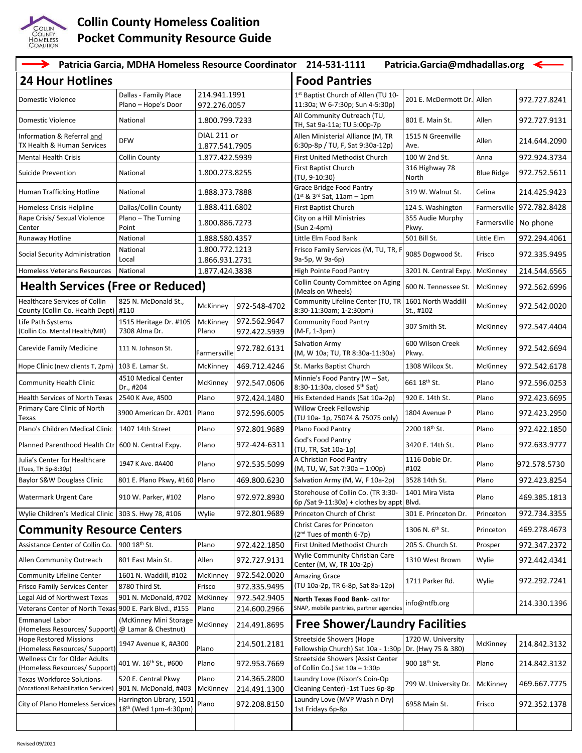

## **Collin County Homeless Coalition Pocket Community Resource Guide**

| $\rightarrow$<br>Patricia Garcia, MDHA Homeless Resource Coordinator<br>214-531-1111<br>Patricia.Garcia@mdhadallas.org<br>$\leftarrow$ |                                                   |                                  |                              |                                                                                    |                                          |                   |              |  |  |
|----------------------------------------------------------------------------------------------------------------------------------------|---------------------------------------------------|----------------------------------|------------------------------|------------------------------------------------------------------------------------|------------------------------------------|-------------------|--------------|--|--|
| <b>24 Hour Hotlines</b>                                                                                                                |                                                   |                                  |                              | <b>Food Pantries</b>                                                               |                                          |                   |              |  |  |
| Domestic Violence                                                                                                                      | Dallas - Family Place<br>Plano - Hope's Door      | 214.941.1991<br>972.276.0057     |                              | 1 <sup>st</sup> Baptist Church of Allen (TU 10-<br>11:30a; W 6-7:30p; Sun 4-5:30p) | 201 E. McDermott Dr.                     | Allen             | 972.727.8241 |  |  |
| Domestic Violence                                                                                                                      | National                                          | 1.800.799.7233                   |                              | All Community Outreach (TU,<br>TH, Sat 9a-11a; TU 5:00p-7p                         | 801 E. Main St.                          | Allen             | 972.727.9131 |  |  |
| Information & Referral and<br>TX Health & Human Services                                                                               | <b>DFW</b>                                        | DIAL 211 or<br>1.877.541.7905    |                              | Allen Ministerial Alliance (M, TR<br>6:30p-8p / TU, F, Sat 9:30a-12p)              | 1515 N Greenville<br>Ave.                | Allen             | 214.644.2090 |  |  |
| <b>Mental Health Crisis</b>                                                                                                            | <b>Collin County</b>                              | 1.877.422.5939                   |                              | First United Methodist Church                                                      | 100 W 2nd St.                            | Anna              | 972.924.3734 |  |  |
| Suicide Prevention                                                                                                                     | National                                          | 1.800.273.8255                   |                              | First Baptist Church                                                               | 316 Highway 78                           | <b>Blue Ridge</b> | 972.752.5611 |  |  |
|                                                                                                                                        |                                                   |                                  |                              | (TU, 9-10:30)                                                                      | North                                    |                   |              |  |  |
| Human Trafficking Hotline                                                                                                              | National                                          | 1.888.373.7888                   |                              | <b>Grace Bridge Food Pantry</b><br>$(1^{st} 8 \ 3^{rd} 5at, 11am - 1pm)$           | 319 W. Walnut St.                        | Celina            | 214.425.9423 |  |  |
| Homeless Crisis Helpline                                                                                                               | Dallas/Collin County                              | 1.888.411.6802                   |                              | First Baptist Church                                                               | 124 S. Washington                        | Farmersville      | 972.782.8428 |  |  |
| Rape Crisis/ Sexual Violence<br>Center                                                                                                 | Plano - The Turning<br>Point                      | 1.800.886.7273                   |                              | City on a Hill Ministries<br>$(Sun 2-4pm)$                                         | 355 Audie Murphy<br>Pkwy.                | Farmersville      | No phone     |  |  |
| Runaway Hotline                                                                                                                        | National                                          | 1.888.580.4357                   |                              | Little Elm Food Bank                                                               | 501 Bill St.                             | Little Elm        | 972.294.4061 |  |  |
| Social Security Administration                                                                                                         | National<br>Local                                 | 1.800.772.1213                   |                              | Frisco Family Services (M, TU, TR, F<br>9a-5p, W 9a-6p)                            | 9085 Dogwood St.                         | Frisco            | 972.335.9495 |  |  |
| Homeless Veterans Resources                                                                                                            | National                                          | 1.866.931.2731<br>1.877.424.3838 |                              | High Pointe Food Pantry                                                            | 3201 N. Central Expy.                    | McKinney          | 214.544.6565 |  |  |
|                                                                                                                                        |                                                   |                                  |                              | Collin County Committee on Aging                                                   |                                          |                   |              |  |  |
| <b>Health Services (Free or Reduced)</b>                                                                                               |                                                   |                                  |                              | (Meals on Wheels)                                                                  | 600 N. Tennessee St.                     | McKinney          | 972.562.6996 |  |  |
| <b>Healthcare Services of Collin</b><br>County (Collin Co. Health Dept)                                                                | 825 N. McDonald St.,<br>#110                      | McKinney                         | 972-548-4702                 | Community Lifeline Center (TU, TR<br>8:30-11:30am; 1-2:30pm)                       | 1601 North Waddill<br>St., #102          | McKinney          | 972.542.0020 |  |  |
| Life Path Systems<br>(Collin Co. Mental Health/MR)                                                                                     | 1515 Heritage Dr. #105<br>7308 Alma Dr.           | McKinney<br>Plano                | 972.562.9647<br>972.422.5939 | <b>Community Food Pantry</b><br>(M-F, 1-3pm)                                       | 307 Smith St.                            | McKinney          | 972.547.4404 |  |  |
| Carevide Family Medicine                                                                                                               | 111 N. Johnson St.                                | <sup>=</sup> armersville         | 972.782.6131                 | Salvation Army<br>(M, W 10a; TU, TR 8:30a-11:30a)                                  | 600 Wilson Creek<br>Pkwy.                | McKinney          | 972.542.6694 |  |  |
| Hope Clinic (new clients T, 2pm)                                                                                                       | 103 E. Lamar St.                                  | McKinney                         | 469.712.4246                 | St. Marks Baptist Church                                                           | 1308 Wilcox St.                          | McKinney          | 972.542.6178 |  |  |
| <b>Community Health Clinic</b>                                                                                                         | 4510 Medical Center<br>Dr., #204                  | McKinney                         | 972.547.0606                 | Minnie's Food Pantry (W - Sat,<br>8:30-11:30a, closed 5th Sat)                     | 661 18th St.                             | Plano             | 972.596.0253 |  |  |
| Health Services of North Texas                                                                                                         | 2540 K Ave, #500                                  | Plano                            | 972.424.1480                 | His Extended Hands (Sat 10a-2p)                                                    | 920 E. 14th St.                          | Plano             | 972.423.6695 |  |  |
| Primary Care Clinic of North<br>Texas                                                                                                  | 3900 American Dr. #201                            | Plano                            | 972.596.6005                 | Willow Creek Fellowship<br>(TU 10a- 1p, 75074 & 75075 only)                        | 1804 Avenue P                            | Plano             | 972.423.2950 |  |  |
| Plano's Children Medical Clinic                                                                                                        | 1407 14th Street                                  | Plano                            | 972.801.9689                 | Plano Food Pantry                                                                  | 2200 18 <sup>th</sup> St.                | Plano             | 972.422.1850 |  |  |
| Planned Parenthood Health Ctr   600 N. Central Expy.                                                                                   |                                                   | Plano                            | 972-424-6311                 | God's Food Pantry<br>(TU, TR, Sat 10a-1p)                                          | 3420 E. 14th St.                         | Plano             | 972.633.9777 |  |  |
| Julia's Center for Healthcare<br>(Tues, TH 5p-8:30p)                                                                                   | 1947 K Ave. #A400                                 | Plano                            | 972.535.5099                 | A Christian Food Pantry<br>(M, TU, W, Sat 7:30a - 1:00p)                           | 1116 Dobie Dr.<br>#102                   | Plano             | 972.578.5730 |  |  |
| Baylor S&W Douglass Clinic                                                                                                             | 801 E. Plano Pkwy, #160 Plano                     |                                  | 469.800.6230                 | Salvation Army (M, W, F 10a-2p)                                                    | 3528 14th St.                            | Plano             | 972.423.8254 |  |  |
| <b>Watermark Urgent Care</b>                                                                                                           | 910 W. Parker, #102                               | Plano                            | 972.972.8930                 | Storehouse of Collin Co. (TR 3:30-<br>$6p$ /Sat 9-11:30a) + clothes by appt        | 1401 Mira Vista<br>Blvd.                 | Plano             | 469.385.1813 |  |  |
| Wylie Children's Medical Clinic                                                                                                        | 303 S. Hwy 78, #106                               | Wylie                            | 972.801.9689                 | Princeton Church of Christ                                                         | 301 E. Princeton Dr.                     | Princeton         | 972.734.3355 |  |  |
| <b>Community Resource Centers</b>                                                                                                      |                                                   |                                  |                              | Christ Cares for Princeton<br>(2 <sup>nd</sup> Tues of month 6-7p)                 | 1306 N. 6 <sup>th</sup> St.              | Princeton         | 469.278.4673 |  |  |
| Assistance Center of Collin Co.                                                                                                        | 900 18th St.                                      | Plano                            | 972.422.1850                 | First United Methodist Church                                                      | 205 S. Church St.                        | Prosper           | 972.347.2372 |  |  |
| Allen Community Outreach                                                                                                               | 801 East Main St.                                 | Allen                            | 972.727.9131                 | Wylie Community Christian Care<br>Center (M, W, TR 10a-2p)                         | 1310 West Brown                          | Wylie             | 972.442.4341 |  |  |
| <b>Community Lifeline Center</b>                                                                                                       | 1601 N. Waddill, #102                             | McKinney                         | 972.542.0020                 | <b>Amazing Grace</b>                                                               |                                          |                   |              |  |  |
| <b>Frisco Family Services Center</b>                                                                                                   | 8780 Third St.                                    | Frisco                           | 972.335.9495                 | (TU 10a-2p, TR 6-8p, Sat 8a-12p)                                                   | 1711 Parker Rd.                          | Wylie             | 972.292.7241 |  |  |
| Legal Aid of Northwest Texas                                                                                                           | 901 N. McDonald, #702                             | McKinney                         | 972.542.9405                 | North Texas Food Bank- call for                                                    | info@ntfb.org                            |                   | 214.330.1396 |  |  |
| Veterans Center of North Texas 900 E. Park Blvd., #155                                                                                 |                                                   | Plano                            | 214.600.2966                 | SNAP, mobile pantries, partner agencies                                            |                                          |                   |              |  |  |
| <b>Emmanuel Labor</b><br>(Homeless Resources/ Support)                                                                                 | (McKinney Mini Storage<br>@ Lamar & Chestnut)     | McKinney                         | 214.491.8695                 | <b>Free Shower/Laundry Facilities</b>                                              |                                          |                   |              |  |  |
| <b>Hope Restored Missions</b><br>(Homeless Resources/ Support)                                                                         | 1947 Avenue K, #A300                              | Plano                            | 214.501.2181                 | <b>Streetside Showers (Hope</b><br>Fellowship Church) Sat 10a - 1:30p              | 1720 W. University<br>Dr. (Hwy 75 & 380) | McKinney          | 214.842.3132 |  |  |
| Wellness Ctr for Older Adults<br>(Homeless Resources/ Support)                                                                         | 401 W. 16 <sup>th</sup> St., #600                 | Plano                            | 972.953.7669                 | <b>Streetside Showers (Assist Center</b><br>of Collin Co.) Sat 10a - 1:30p         | 900 18th St.                             | Plano             | 214.842.3132 |  |  |
| Texas Workforce Solutions-<br>(Vocational Rehabilitation Services)                                                                     | 520 E. Central Pkwy<br>901 N. McDonald, #403      | Plano<br>McKinney                | 214.365.2800<br>214.491.1300 | Laundry Love (Nixon's Coin-Op<br>Cleaning Center) -1st Tues 6p-8p                  | 799 W. University Dr.                    | McKinney          | 469.667.7775 |  |  |
| City of Plano Homeless Services                                                                                                        | Harrington Library, 1501<br>18th (Wed 1pm-4:30pm) | Plano                            | 972.208.8150                 | Laundry Love (MVP Wash n Dry)<br>1st Fridays 6p-8p                                 | 6958 Main St.                            | Frisco            | 972.352.1378 |  |  |
|                                                                                                                                        |                                                   |                                  |                              |                                                                                    |                                          |                   |              |  |  |